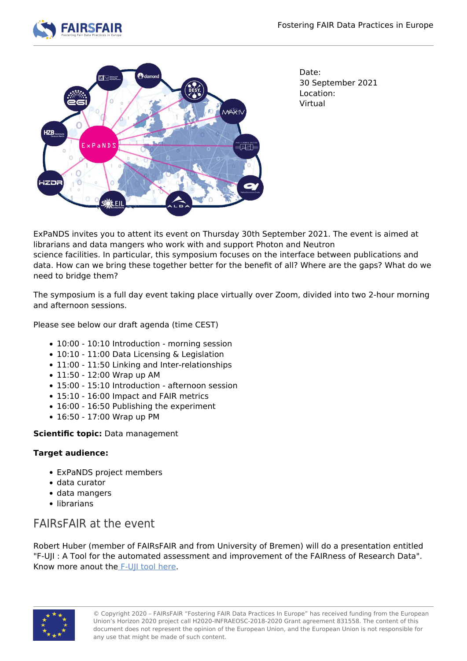



Date: 30 September 2021 Location: Virtual

ExPaNDS invites you to attent its event on Thursday 30th September 2021. The event is aimed at librarians and data mangers who work with and support Photon and Neutron science facilities. In particular, this symposium focuses on the interface between publications and data. How can we bring these together better for the benefit of all? Where are the gaps? What do we need to bridge them?

The symposium is a full day event taking place virtually over Zoom, divided into two 2-hour morning and afternoon sessions.

Please see below our draft agenda (time CEST)

- 10:00 10:10 Introduction morning session
- 10:10 11:00 Data Licensing & Legislation
- 11:00 11:50 Linking and Inter-relationships
- 11:50 12:00 Wrap up AM
- 15:00 15:10 Introduction afternoon session
- 15:10 16:00 Impact and FAIR metrics
- 16:00 16:50 Publishing the experiment
- 16:50 17:00 Wrap up PM

## **Scientific topic:** Data management

## **Target audience:**

- ExPaNDS project members
- data curator
- data mangers
- librarians

## FAIRsFAIR at the event

Robert Huber (member of FAIRsFAIR and from University of Bremen) will do a presentation entitled "F-UJI : A Tool for the automated assessment and improvement of the FAIRness of Research Data". Know more anout the [F-UJI tool here](https://www.fairsfair.eu/f-uji-automated-fair-data-assessment-tool).